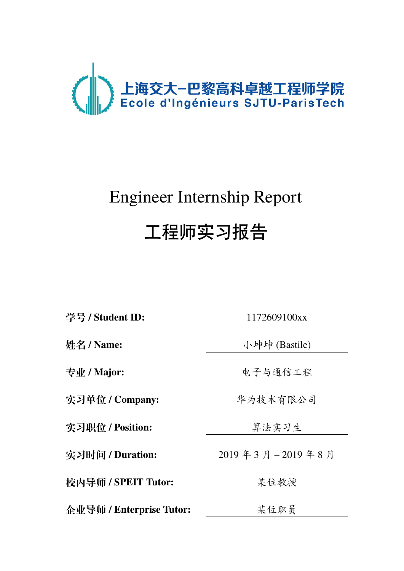

# Engineer Internship Report 工程师实习报告

**学号 / Student ID:** 1172609100xx

**实习单位 / Company:** 华为技术有限公司

实习职位 / Position: **The Manual of Alle Manual State 单法实习生** 

**校内导师 / SPEIT Tutor:** 某位教授

**企业导师 / Enterprise Tutor:** 来位职员

**姓名 / Name:** 小坤坤 (Bastile)

专业 / Major: **between product** 

**实习时间 / Duration:** 2019 年 3 月 – 2019 年 8 月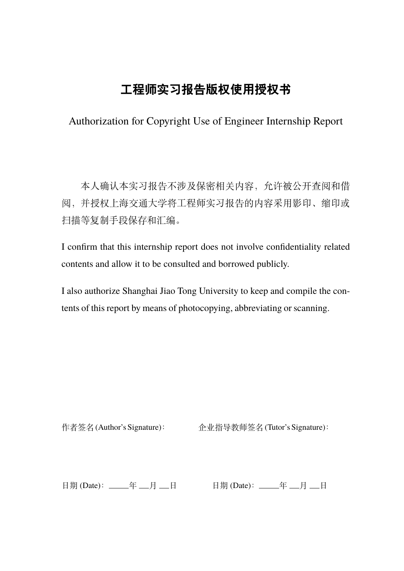# **工程师实习报告版权使用授权书**

Authorization for Copyright Use of Engineer Internship Report

本人确认本实习报告不涉及保密相关内容,允许被公开查阅和借 阅,并授权上海交通大学将工程师实习报告的内容采用影印、缩印或 扫描等复制手段保存和汇编。

I confirm that this internship report does not involve confidentiality related contents and allow it to be consulted and borrowed publicly.

I also authorize Shanghai Jiao Tong University to keep and compile the contents of this report by means of photocopying, abbreviating or scanning.

作者签名(Author's Signature): <br>
企业指导教师签名(Tutor's Signature):

日期 (Date): \_\_\_\_\_年 \_\_月 \_\_日 日期 (Date): \_\_\_\_\_年 \_\_月 \_\_日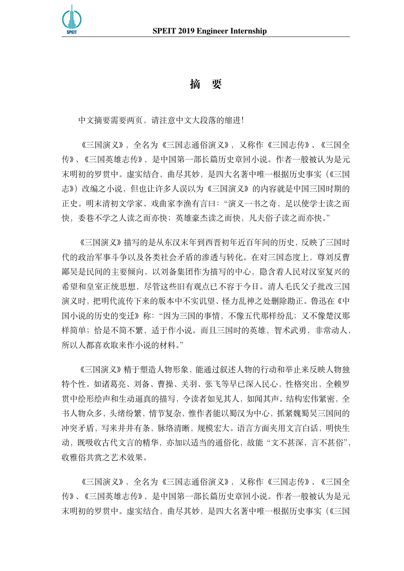

## **摘 要**

中文摘要需要两页,请注意中文大段落的缩进!

《三国演义》,全名为《三国志通俗演义》,又称作《三国志传》、《三国全 传》、《三国英雄志传》,是中国第一部长篇历史章回小说。作者一般被认为是元 末明初的罗贯中。虚实结合,曲尽其妙,是四大名著中唯一根据历史事实(《三国 志》)改编之小说,但也让许多人误以为《三国演义》的内容就是中国三国时期的 正史。明末清初文学家、戏曲家李渔有言曰:"演义一书之奇,足以使学士读之而 快,委巷不学之人读之而亦快;英雄豪杰读之而快,凡夫俗子读之而亦快。"

《三国演义》描写的是从东汉末年到西晋初年近百年间的历史,反映了三国时 代的政治军事斗争以及各类社会矛盾的渗透与转化。在对三国态度上,尊刘反曹 鄙吴是民间的主要倾向,以刘备集团作为描写的中心,隐含着人民对汉室复兴的 希望和皇室正统思想,尽管这些旧有观点已不容于今日。清人毛氏父子批改三国 演义时,把明代流传下来的版本中不实讥望、怪力乱神之处删除勘正。鲁迅在《中 国小说的历史的变迁》称:"因为三国的事情,不像五代那样纷乱;又不像楚汉那 样简单;恰是不简不繁,适于作小说。而且三国时的英雄,智术武勇,非常动人, 所以人都喜欢取来作小说的材料。"

《三国演义》精于塑造人物形象,能通过叙述人物的行动和举止来反映人物独 特个性。如诸葛亮、刘备、曹操、关羽、张飞等早已深入民心,性格突出,全赖罗 贯中绘形绘声和生动逼真的描写,令读者如见其人,如闻其声。结构宏伟紧密,全 书人物众多,头绪纷繁,情节复杂,惟作者能以蜀汉为中心,抓紧魏蜀吴三国间的 冲突矛盾,写来井井有条,脉络清晰,规模宏大。语言方面夹用文言白话,明快生 动,既吸收古代文言的精华,亦加以适当的通俗化,故能"文不甚深,言不甚俗", 收雅俗共赏之艺术效果。

《三国演义》,全名为《三国志通俗演义》,又称作《三国志传》、《三国全 传》、《三国英雄志传》,是中国第一部长篇历史章回小说。作者一般被认为是元 末明初的罗贯中。虚实结合,曲尽其妙,是四大名著中唯一根据历史事实(《三国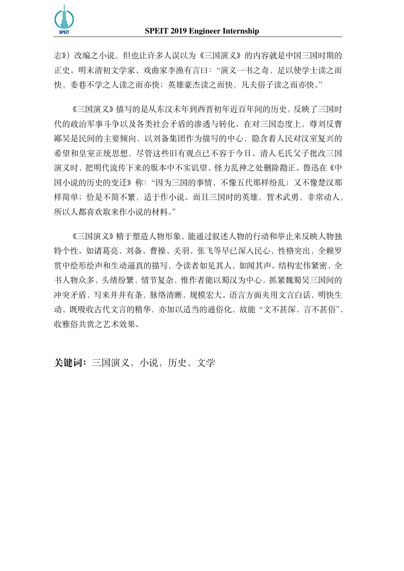

志》)改编之小说,但也让许多人误以为《三国演义》的内容就是中国三国时期的 正史。明末清初文学家、戏曲家李渔有言曰:"演义一书之奇,足以使学士读之而 快,委巷不学之人读之而亦快;英雄豪杰读之而快,凡夫俗子读之而亦快。"

《三国演义》描写的是从东汉末年到西晋初年近百年间的历史,反映了三国时 代的政治军事斗争以及各类社会矛盾的渗透与转化。在对三国态度上,尊刘反曹 鄙吴是民间的主要倾向,以刘备集团作为描写的中心,隐含着人民对汉室复兴的 希望和皇室正统思想,尽管这些旧有观点已不容于今日。清人毛氏父子批改三国 演义时,把明代流传下来的版本中不实讥望、怪力乱神之处删除勘正。鲁迅在《中 国小说的历史的变迁》称:"因为三国的事情,不像五代那样纷乱;又不像楚汉那 样简单;恰是不简不繁,适于作小说。而且三国时的英雄,智术武勇,非常动人, 所以人都喜欢取来作小说的材料。"

《三国演义》精于塑造人物形象,能通过叙述人物的行动和举止来反映人物独 特个性。如诸葛亮、刘备、曹操、关羽、张飞等早已深入民心,性格突出,全赖罗 贯中绘形绘声和生动逼真的描写,令读者如见其人,如闻其声。结构宏伟紧密,全 书人物众多,头绪纷繁,情节复杂,惟作者能以蜀汉为中心,抓紧魏蜀吴三国间的 冲突矛盾,写来井井有条,脉络清晰,规模宏大。语言方面夹用文言白话,明快生 动,既吸收古代文言的精华,亦加以适当的通俗化,故能"文不甚深,言不甚俗", 收雅俗共赏之艺术效果。

**关键词:**三国演义,小说,历史,文学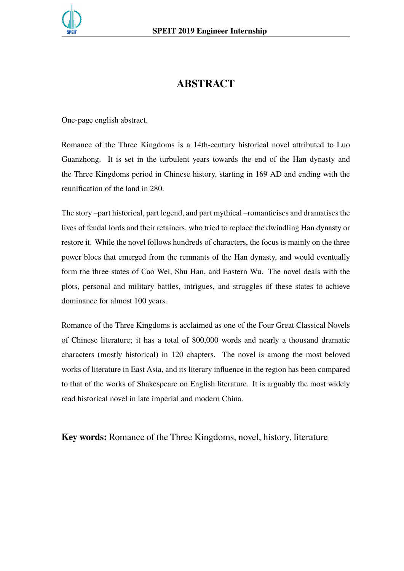

# **ABSTRACT**

One-page english abstract.

Romance of the Three Kingdoms is a 14th-century historical novel attributed to Luo Guanzhong. It is set in the turbulent years towards the end of the Han dynasty and the Three Kingdoms period in Chinese history, starting in 169 AD and ending with the reunification of the land in 280.

The story –part historical, part legend, and part mythical –romanticises and dramatises the lives of feudal lords and their retainers, who tried to replace the dwindling Han dynasty or restore it. While the novel follows hundreds of characters, the focus is mainly on the three power blocs that emerged from the remnants of the Han dynasty, and would eventually form the three states of Cao Wei, Shu Han, and Eastern Wu. The novel deals with the plots, personal and military battles, intrigues, and struggles of these states to achieve dominance for almost 100 years.

Romance of the Three Kingdoms is acclaimed as one of the Four Great Classical Novels of Chinese literature; it has a total of 800,000 words and nearly a thousand dramatic characters (mostly historical) in 120 chapters. The novel is among the most beloved works of literature in East Asia, and its literary influence in the region has been compared to that of the works of Shakespeare on English literature. It is arguably the most widely read historical novel in late imperial and modern China.

**Key words:** Romance of the Three Kingdoms, novel, history, literature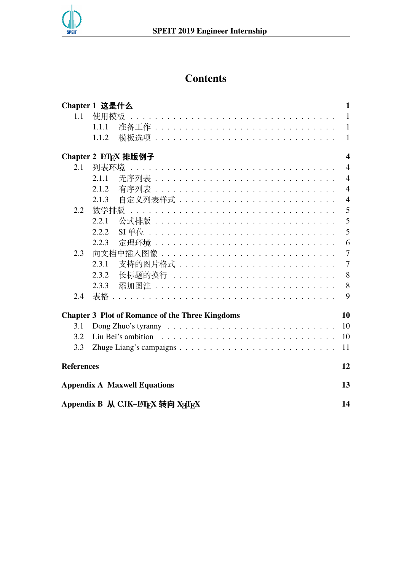

# **Contents**

|                                                              | Chapter 1 这是什么                                            | 1                       |  |  |  |  |  |  |
|--------------------------------------------------------------|-----------------------------------------------------------|-------------------------|--|--|--|--|--|--|
| 1.1                                                          | 使用模板                                                      | $\mathbf{1}$            |  |  |  |  |  |  |
|                                                              | 1.1.1                                                     | $\mathbf{1}$            |  |  |  |  |  |  |
|                                                              | 1.1.2                                                     | $\mathbf{1}$            |  |  |  |  |  |  |
|                                                              | Chapter 2 LAT <sub>F</sub> X 排版例子                         | $\overline{\mathbf{4}}$ |  |  |  |  |  |  |
| 2.1                                                          |                                                           | $\overline{4}$          |  |  |  |  |  |  |
|                                                              | 2.1.1                                                     | $\overline{4}$          |  |  |  |  |  |  |
|                                                              | 2.1.2                                                     | $\overline{4}$          |  |  |  |  |  |  |
|                                                              | 2.1.3                                                     | $\overline{4}$          |  |  |  |  |  |  |
| 2.2                                                          |                                                           | 5                       |  |  |  |  |  |  |
|                                                              | 2.2.1                                                     | 5                       |  |  |  |  |  |  |
|                                                              | 2.2.2                                                     | 5                       |  |  |  |  |  |  |
|                                                              | 2.2.3<br><u> 定理环境 ...................................</u> | 6                       |  |  |  |  |  |  |
| 2.3                                                          |                                                           | $\tau$                  |  |  |  |  |  |  |
|                                                              | 2.3.1                                                     | $\overline{7}$          |  |  |  |  |  |  |
|                                                              | 2.3.2                                                     | 8                       |  |  |  |  |  |  |
|                                                              | 2.3.3                                                     | 8                       |  |  |  |  |  |  |
| 2.4                                                          | 表格                                                        | 9                       |  |  |  |  |  |  |
| <b>Chapter 3 Plot of Romance of the Three Kingdoms</b><br>10 |                                                           |                         |  |  |  |  |  |  |
| 3.1                                                          |                                                           | 10                      |  |  |  |  |  |  |
| 3.2                                                          |                                                           | 10                      |  |  |  |  |  |  |
| 3.3                                                          |                                                           | 11                      |  |  |  |  |  |  |
| <b>References</b>                                            |                                                           |                         |  |  |  |  |  |  |
| <b>Appendix A Maxwell Equations</b>                          |                                                           |                         |  |  |  |  |  |  |
| Appendix B 从 CJK-LIFX 转向 XyTFX<br>14                         |                                                           |                         |  |  |  |  |  |  |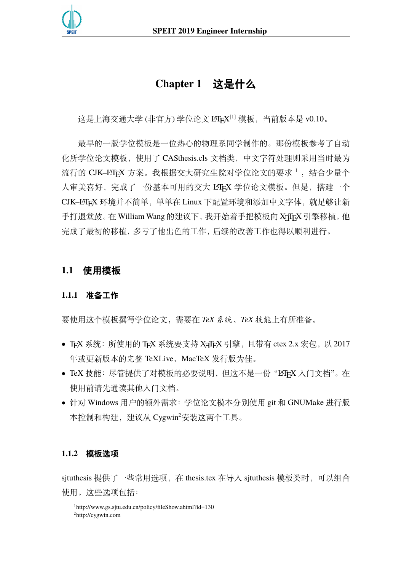<span id="page-10-0"></span>

# **Chapter 1 这是什么**

这是上海交通大学 (非官方) 学位论文 LTEX<sup>[\[1](#page-21-1)]</sup> 模板,当前版本是 v0.10。

最早的一版学位模板是一位热心的物理系同学制作的。那份模板参考了自动 化所学位论文模板,使用了 CASthesis.cls 文档类,中文字符处理则采用当时最为 流行的 CJK-LATpX 方案。我根据交大研究生院对学位论文的要求<sup>[1](#page-10-4)</sup>, 结合少量个 人审美喜好,完成了一份基本可用的交大 LATEX 学位论文模板。但是,搭建一个 CJK-LATFX 环境并不简单, 单单在 Linux 下配置环境和添加中文字体, 就足够让新 手打退堂鼓。在 William Wang 的建议下, 我开始着手把模板向 XqTpX 引擎移植。他 完成了最初的移植,多亏了他出色的工作,后续的改善工作也得以顺利进行。

## <span id="page-10-2"></span><span id="page-10-1"></span>**1.1 使用模板**

### **1.1.1 准备工作**

要使用这个模板撰写学位论文,需要在 *TeX* 系统、*TeX* 技能上有所准备。

- TFX 系统: 所使用的 TFX 系统要支持 X TFX 引擎, 且带有 ctex 2.x 宏包, 以 2017 年或更新版本的完整 TeXLive、MacTeX 发行版为佳。
- TeX 技能: 尽管提供了对模板的必要说明, 但这不是一份"LATEX 入门文档"。在 使用前请先通读其他入门文档。
- 针对 Windows 用户的额外需求:学位论文模本分别使用 git 和 GNUMake 进行版 本控制和构建, 建议从 Cygwin<sup>[2](#page-10-5)</sup>安装这两个工具。

#### <span id="page-10-3"></span>**1.1.2 模板选项**

sjtuthesis 提供了一些常用选项, 在 thesis.tex 在导入 sjtuthesis 模板类时, 可以组合 使用。这些选项包括:

<span id="page-10-5"></span><span id="page-10-4"></span><sup>1</sup><http://www.gs.sjtu.edu.cn/policy/fileShow.ahtml?id=130> <sup>2</sup><http://cygwin.com>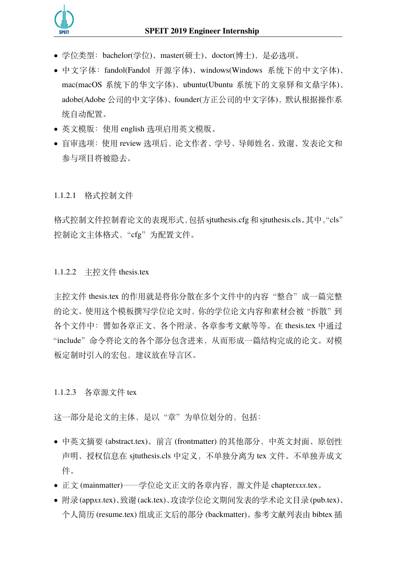

- 学位类型:bachelor(学位)、master(硕士)、doctor(博士),是必选项。
- 中文字体:fandol(Fandol 开源字体)、windows(Windows 系统下的中文字体)、 mac(macOS 系统下的华文字体)、ubuntu(Ubuntu 系统下的文泉驿和文鼎字体)、 adobe(Adobe 公司的中文字体)、founder(方正公司的中文字体),默认根据操作系 统自动配置。
- 英文模版:使用 english 选项启用英文模版。
- 盲审选项:使用 review 选项后,论文作者、学号、导师姓名、致谢、发表论文和 参与项目将被隐去。

#### 1.1.2.1 格式控制文件

格式控制文件控制着论文的表现形式,包括sjtuthesis.cfg和sjtuthesis.cls。其中,"cls" 控制论文主体格式, "cfg"为配置文件。

#### 1.1.2.2 主控文件 thesis.tex

主控文件 thesis.tex 的作用就是将你分散在多个文件中的内容"整合"成一篇完整 的论文。使用这个模板撰写学位论文时,你的学位论文内容和素材会被"拆散"到 各个文件中:譬如各章正文、各个附录、各章参考文献等等。在 thesis.tex 中通过 "include"命令将论文的各个部分包含进来,从而形成一篇结构完成的论文。对模 板定制时引入的宏包,建议放在导言区。

1.1.2.3 各章源文件 tex

这一部分是论文的主体,是以"章"为单位划分的,包括:

- 中英文摘要 (abstract.tex)。前言 (frontmatter) 的其他部分,中英文封面、原创性 声明、授权信息在 sjtuthesis.cls 中定义,不单独分离为 tex 文件。不单独弄成文 件。
- 正文 (mainmatter)——学位论文正文的各章内容,源文件是 chapter*xxx*.tex。
- 附录(app*xx*.tex)、致谢(ack.tex)、攻读学位论文期间发表的学术论文目录(pub.tex)、 个人简历 (resume.tex) 组成正文后的部分 (backmatter)。参考文献列表由 bibtex 插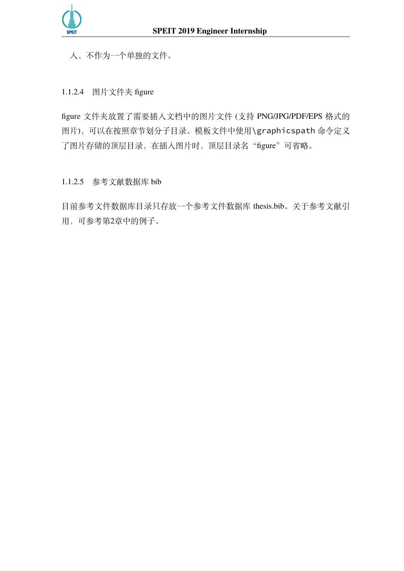入,不作为一个单独的文件。

1.1.2.4 图片文件夹 figure

figure 文件夹放置了需要插入文档中的图片文件 (支持 PNG/JPG/PDF/EPS 格式的 图片),可以在按照章节划分子目录。模板文件中使用\graphicspath 命令定义 了图片存储的顶层目录, 在插入图片时, 顶层目录名"figure"可省略。

1.1.2.5 参考文献数据库 bib

目前参考文件数据库目录只存放一个参考文件数据库 thesis.bib。关于参考文献引 用,可参考第[2](#page-13-0)章中的例子。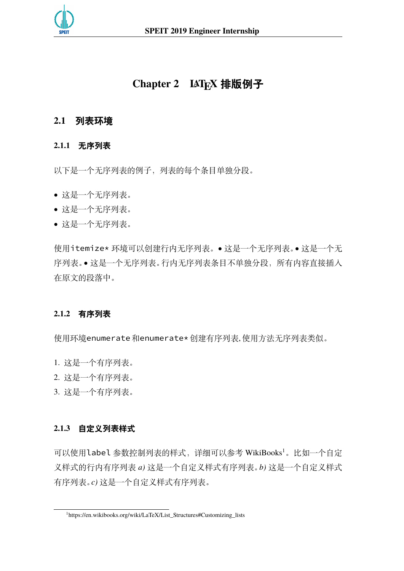<span id="page-13-0"></span>

# **Chapter 2 LATEX 排版例子**

## <span id="page-13-2"></span><span id="page-13-1"></span>**2.1 列表环境**

#### **2.1.1 无序列表**

以下是一个无序列表的例子,列表的每个条目单独分段。

- 这是一个无序列表。
- 这是一个无序列表。
- 这是一个无序列表。

使用itemize\* 环境可以创建行内无序列表。• 这是一个无序列表。• 这是一个无 序列表。• 这是一个无序列表。行内无序列表条目不单独分段,所有内容直接插入 在原文的段落中。

#### <span id="page-13-3"></span>**2.1.2 有序列表**

使用环境enumerate和enumerate\*创建有序列表, 使用方法无序列表类似。

- 1. 这是一个有序列表。
- 2. 这是一个有序列表。
- 3. 这是一个有序列表。

#### <span id="page-13-4"></span>**2.1.3 自定义列表样式**

可以使用label 参数控制列表的样式,详细可以参考 WikiBooks<sup>[1](#page-13-5)</sup>。比如一个自定 义样式的行内有序列表 *a)* 这是一个自定义样式有序列表。*b)* 这是一个自定义样式 有序列表。*c)* 这是一个自定义样式有序列表。

<span id="page-13-5"></span><sup>1</sup>[https://en.wikibooks.org/wiki/LaTeX/List\\_Structures#Customizing\\_lists](https://en.wikibooks.org/wiki/LaTeX/List_Structures#Customizing_lists)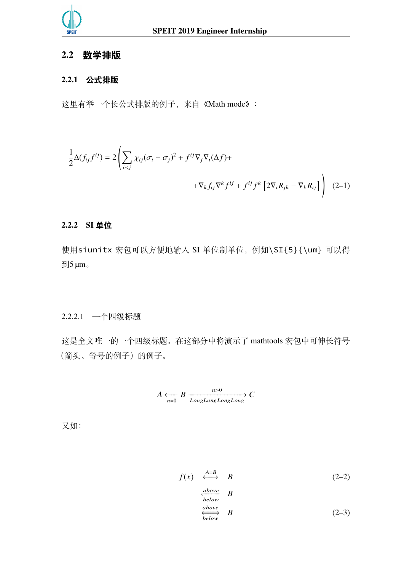

## <span id="page-14-1"></span><span id="page-14-0"></span>**2.2 数学排版**

## **2.2.1 公式排版**

这里有举一个长公式排版的例子,来自《[Math mode](http://www.tex.ac.uk/tex-archive/info/math/voss/mathmode/Mathmode.pdf)》:

$$
\frac{1}{2}\Delta(f_{ij}f^{ij}) = 2\left(\sum_{i < j} \chi_{ij}(\sigma_i - \sigma_j)^2 + f^{ij}\nabla_j \nabla_i(\Delta f) + \nabla_k f_{ij}\nabla^k f^{ij} + f^{ij}f^k \left[2\nabla_i R_{jk} - \nabla_k R_{ij}\right]\right) \tag{2-1}
$$

#### <span id="page-14-2"></span>**2.2.2 SI 单位**

使用siunitx 宏包可以方便地输入 SI 单位制单位,例如\SI{5}{\um} 可以得  $\overline{\mathfrak{B}}$ 5 μm。

2.2.2.1 一个四级标题

这是全文唯一的一个四级标题。在这部分中将演示了 mathtools 宏包中可伸长符号 (箭头、等号的例子)的例子。

$$
A \xleftarrow[n=0]{n>0} B \xrightarrow[LongLongLongLong
$$

又如:

$$
f(x) \xleftrightarrow{\begin{array}{c} A=B\\ \xrightarrow{above} \\ below \end{array}} B \tag{2-2}
$$
  
\n
$$
\xleftrightarrow{\begin{array}{c} above \\ below \end{array}} B \tag{2-3}
$$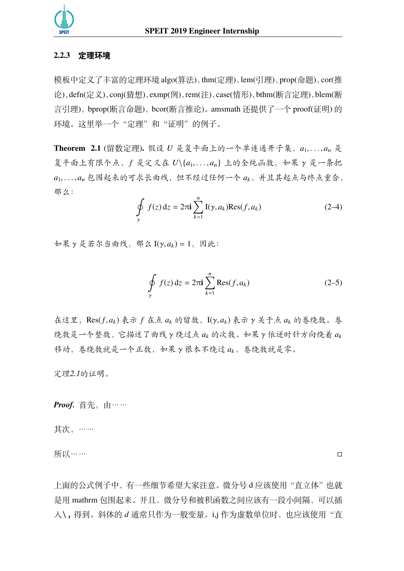

#### <span id="page-15-0"></span>**2.2.3 定理环境**

模板中定义了丰富的定理环境 algo(算法),thm(定理),lem(引理),prop(命题),cor(推 论),defn(定义),conj(猜想),exmp(例),rem(注),case(情形),bthm(断言定理),blem(断 言引理),bprop(断言命题),bcor(断言推论)。amsmath 还提供了一个 proof(证明) 的 环境。这里举一个"定理"和"证明"的例子。

<span id="page-15-1"></span>Theorem 2.1 (留数定理). 假设 *U* 是复平面上的一个单连通开子集,  $a_1, \ldots, a_n$  是 复平面上有限个点, f 是定义在 U\{a1,...,an} 上的全纯函数, 如果 γ 是一条把 *a*1, . . . , *a*<sup>n</sup> 包围起来的可求长曲线,但不经过任何一个 *a*k,并且其起点与终点重合, 那么:

$$
\oint_{\gamma} f(z) dz = 2\pi i \sum_{k=1}^{n} I(\gamma, a_k) \text{Res}(f, a_k)
$$
\n(2-4)

 $\psi \notin \mathcal{X}$  γ 是若尔当曲线, 那么 I(γ,  $a_k$ ) = 1, 因此:

$$
\oint_{\gamma} f(z) dz = 2\pi i \sum_{k=1}^{n} \text{Res}(f, a_k)
$$
\n(2-5)

在这里,Res( *f*, *a*<sup>k</sup> ) 表示 *f* 在点 *a*<sup>k</sup> 的留数,I(γ, *a*<sup>k</sup> ) 表示 γ 关于点 *a*<sup>k</sup> 的卷绕数。卷 绕数是一个整数,它描述了曲线 γ 绕过点 *a*<sup>k</sup> 的次数。如果 γ 依逆时针方向绕着 *a*<sup>k</sup> 移动,卷绕数就是一个正数,如果 γ 根本不绕过 *a*k,卷绕数就是零。

定理*[2.1](#page-15-1)*的证明。

*Proof.* 首先,由……

其次,……

所以…… □

上面的公式例子中,有一些细节希望大家注意。微分号 d 应该使用"直立体"也就 是用 mathrm 包围起来。并且,微分号和被积函数之间应该有一段小间隔,可以插 入\, 得到。斜体的 *d* 通常只作为一般变量。i,j 作为虚数单位时, 也应该使用"直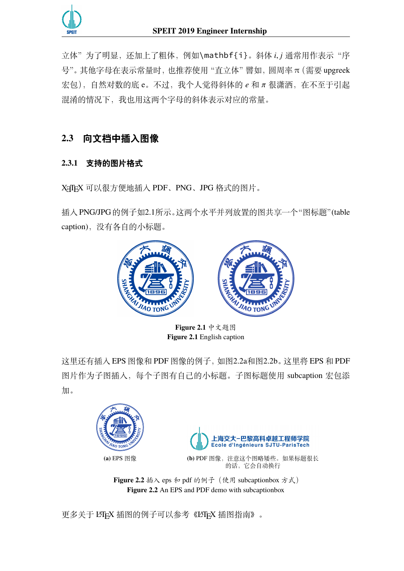

立体"为了明显,还加上了粗体,例如\mathbf{i}。斜体 *i*, *j* 通常用作表示"序 号"。其他字母在表示常量时,也推荐使用"直立体"譬如,圆周率 π(需要 upgreek 宏包),自然对数的底 e。不过,我个人觉得斜体的 *e* 和 π 很潇洒,在不至于引起 混淆的情况下,我也用这两个字母的斜体表示对应的常量。

# <span id="page-16-1"></span><span id="page-16-0"></span>**2.3 向文档中插入图像**

## **2.3.1 支持的图片格式**

X TEX 可以很方便地插入 PDF、PNG、JPG 格式的图片。

<span id="page-16-2"></span>插入PNG/JPG的例子如[2.1](#page-16-2)所示。这两个水平并列放置的图共享一个"图标题"(table caption),没有各自的小标题。



**Figure 2.1** 中文题图 **Figure 2.1** English caption

这里还有插入 EPS 图像和 PDF 图像的例子, 如图[2.2a](#page-16-3)和图[2.2b](#page-16-3)。这里将 EPS 和 PDF 图片作为子图插入,每个子图有自己的小标题。子图标题使用 subcaption 宏包添 加。

<span id="page-16-3"></span>



**(a)** EPS 图像 **(b)** PDF 图像,注意这个图略矮些。如果标题很长 的话,它会自动换行

**Figure 2.2** 插入 eps 和 pdf 的例子 (使用 subcaptionbox 方式) **Figure 2.2** An EPS and PDF demo with subcaptionbox

更多关于 LATEX 插图的例子可以参考《LATEX [插图指南》](http://www.cs.duke.edu/junhu/Graphics3.pdf)。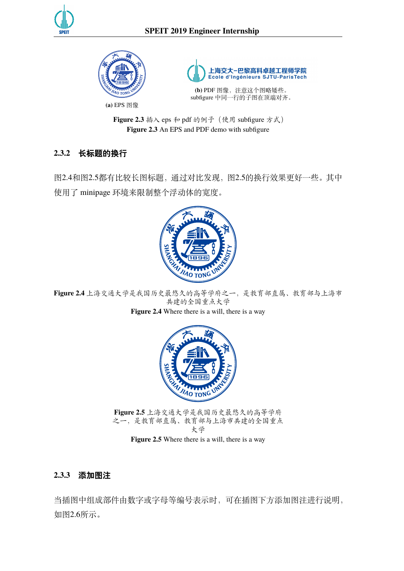





(b) PDF 图像, 注意这个图略矮些。 subfigure 中同一行的子图在顶端对齐。

**Figure 2.3** 插入 eps 和 pdf 的例子(使用 subfigure 方式) **Figure 2.3** An EPS and PDF demo with subfigure

## <span id="page-17-0"></span>**2.3.2 长标题的换行**

图[2.4](#page-17-2)和图[2.5](#page-17-3)都有比较长图标题,通过对比发现,图[2.5](#page-17-3)的换行效果更好一些。其中 使用了 minipage 环境来限制整个浮动体的宽度。

<span id="page-17-2"></span>

<span id="page-17-3"></span>共建的全国重点大学

**Figure 2.4** Where there is a will, there is a way



**Figure 2.5** 上海交通大学是我国历史最悠久的高等学府 之一,是教育部直属、教育部与上海市共建的全国重点 大学

Figure 2.5 Where there is a will, there is a way

### <span id="page-17-1"></span>**2.3.3 添加图注**

当插图中组成部件由数字或字母等编号表示时,可在插图下方添加图注进行说明, 如图[2.6](#page-18-1)所示。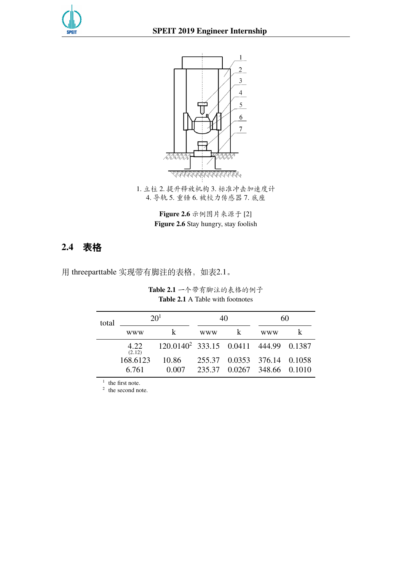<span id="page-18-1"></span>



1. 立柱 2. 提升释放机构 3. 标准冲击加速度计 4. 导轨 5. 重锤 6. 被校力传感器 7. 底座

> **Figure 2.6** 示例图片来源于 [[2\]](#page-21-2) **Figure 2.6** Stay hungry, stay foolish

# <span id="page-18-0"></span>**2.4 表格**

<span id="page-18-2"></span>用 threeparttable 实现带有脚注的表格,如表[2.1](#page-18-2)。

**Table 2.1** 一个带有脚注的表格的例子 **Table 2.1** A Table with footnotes

| total | 20 <sup>1</sup>   |                                                   | 40         |   | 60                                                         |  |
|-------|-------------------|---------------------------------------------------|------------|---|------------------------------------------------------------|--|
|       | www               | k                                                 | <b>WWW</b> | k | www                                                        |  |
|       | 4.22<br>(2.12)    | 120.0140 <sup>2</sup> 333.15 0.0411 444.99 0.1387 |            |   |                                                            |  |
|       | 168.6123<br>6.761 | 10.86<br>0.007                                    |            |   | 255.37 0.0353 376.14 0.1058<br>235.37 0.0267 348.66 0.1010 |  |

 $<sup>1</sup>$  the first note.</sup>

 $2$  the second note.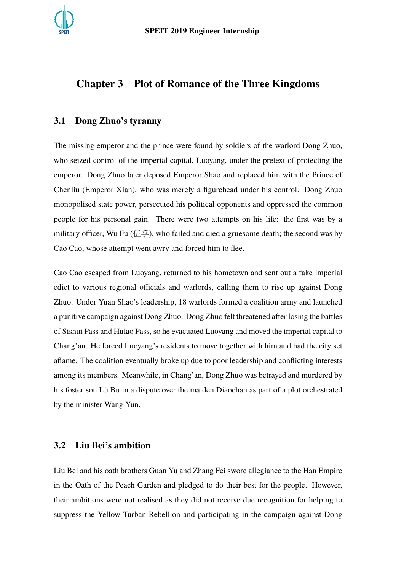

# <span id="page-19-0"></span>**Chapter 3 Plot of Romance of the Three Kingdoms**

#### <span id="page-19-1"></span>**3.1 Dong Zhuo's tyranny**

The missing emperor and the prince were found by soldiers of the warlord Dong Zhuo, who seized control of the imperial capital, Luoyang, under the pretext of protecting the emperor. Dong Zhuo later deposed Emperor Shao and replaced him with the Prince of Chenliu (Emperor Xian), who was merely a figurehead under his control. Dong Zhuo monopolised state power, persecuted his political opponents and oppressed the common people for his personal gain. There were two attempts on his life: the first was by a military officer, Wu Fu (伍孚), who failed and died a gruesome death; the second was by Cao Cao, whose attempt went awry and forced him to flee.

Cao Cao escaped from Luoyang, returned to his hometown and sent out a fake imperial edict to various regional officials and warlords, calling them to rise up against Dong Zhuo. Under Yuan Shao's leadership, 18 warlords formed a coalition army and launched a punitive campaign against Dong Zhuo. Dong Zhuo felt threatened after losing the battles of Sishui Pass and Hulao Pass, so he evacuated Luoyang and moved the imperial capital to Chang'an. He forced Luoyang's residents to move together with him and had the city set aflame. The coalition eventually broke up due to poor leadership and conflicting interests among its members. Meanwhile, in Chang'an, Dong Zhuo was betrayed and murdered by his foster son Lü Bu in a dispute over the maiden Diaochan as part of a plot orchestrated by the minister Wang Yun.

#### <span id="page-19-2"></span>**3.2 Liu Bei's ambition**

Liu Bei and his oath brothers Guan Yu and Zhang Fei swore allegiance to the Han Empire in the Oath of the Peach Garden and pledged to do their best for the people. However, their ambitions were not realised as they did not receive due recognition for helping to suppress the Yellow Turban Rebellion and participating in the campaign against Dong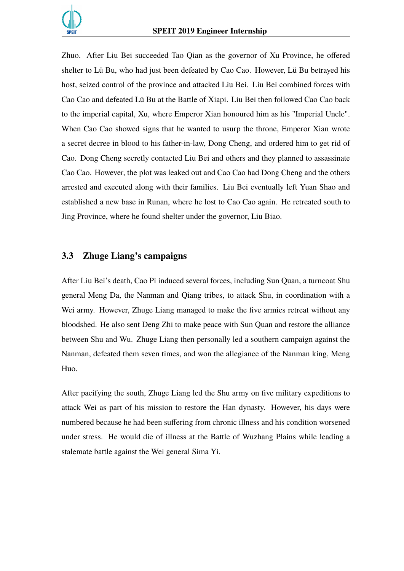

Zhuo. After Liu Bei succeeded Tao Qian as the governor of Xu Province, he offered shelter to Lü Bu, who had just been defeated by Cao Cao. However, Lü Bu betrayed his host, seized control of the province and attacked Liu Bei. Liu Bei combined forces with Cao Cao and defeated Lü Bu at the Battle of Xiapi. Liu Bei then followed Cao Cao back to the imperial capital, Xu, where Emperor Xian honoured him as his "Imperial Uncle". When Cao Cao showed signs that he wanted to usurp the throne, Emperor Xian wrote a secret decree in blood to his father-in-law, Dong Cheng, and ordered him to get rid of Cao. Dong Cheng secretly contacted Liu Bei and others and they planned to assassinate Cao Cao. However, the plot was leaked out and Cao Cao had Dong Cheng and the others arrested and executed along with their families. Liu Bei eventually left Yuan Shao and established a new base in Runan, where he lost to Cao Cao again. He retreated south to Jing Province, where he found shelter under the governor, Liu Biao.

#### <span id="page-20-0"></span>**3.3 Zhuge Liang's campaigns**

After Liu Bei's death, Cao Pi induced several forces, including Sun Quan, a turncoat Shu general Meng Da, the Nanman and Qiang tribes, to attack Shu, in coordination with a Wei army. However, Zhuge Liang managed to make the five armies retreat without any bloodshed. He also sent Deng Zhi to make peace with Sun Quan and restore the alliance between Shu and Wu. Zhuge Liang then personally led a southern campaign against the Nanman, defeated them seven times, and won the allegiance of the Nanman king, Meng Huo.

After pacifying the south, Zhuge Liang led the Shu army on five military expeditions to attack Wei as part of his mission to restore the Han dynasty. However, his days were numbered because he had been suffering from chronic illness and his condition worsened under stress. He would die of illness at the Battle of Wuzhang Plains while leading a stalemate battle against the Wei general Sima Yi.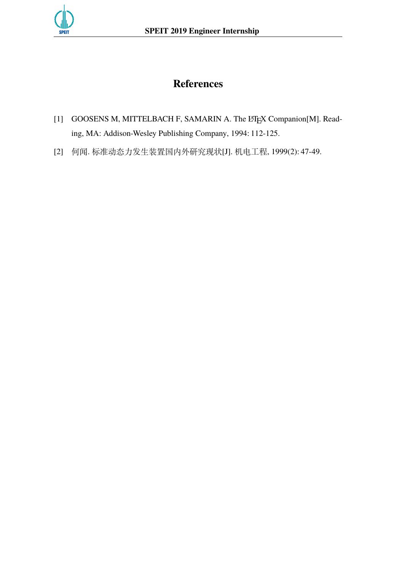<span id="page-21-0"></span>

# **References**

- <span id="page-21-1"></span>[1] GOOSENS M, MITTELBACH F, SAMARIN A. The L'TEX Companion[M]. Reading, MA: Addison-Wesley Publishing Company, 1994: 112-125.
- <span id="page-21-2"></span>[2] 何闻. 标准动态力发生装置国内外研究现状[J]. 机电工程, 1999(2): 47-49.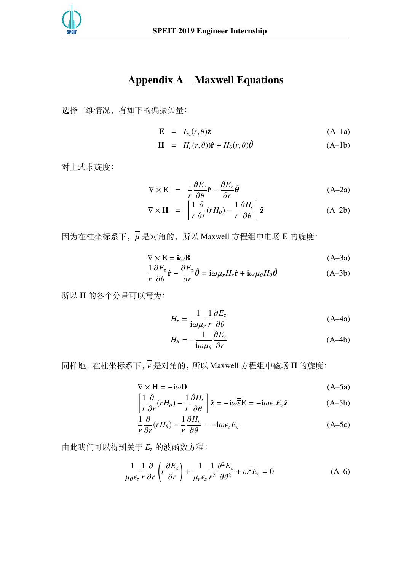<span id="page-22-0"></span>

# **Appendix A Maxwell Equations**

选择二维情况,有如下的偏振矢量:

$$
\mathbf{E} = E_z(r,\theta)\hat{\mathbf{z}} \tag{A-1a}
$$

$$
\mathbf{H} = H_r(r,\theta)\hat{\mathbf{r}} + H_\theta(r,\theta)\hat{\theta} \tag{A-1b}
$$

对上式求旋度:

$$
\nabla \times \mathbf{E} = \frac{1}{r} \frac{\partial E_z}{\partial \theta} \hat{\mathbf{r}} - \frac{\partial E_z}{\partial r} \hat{\theta}
$$
 (A-2a)

$$
\nabla \times \mathbf{H} = \left[ \frac{1}{r} \frac{\partial}{\partial r} (rH_{\theta}) - \frac{1}{r} \frac{\partial H_{r}}{\partial \theta} \right] \hat{\mathbf{z}}
$$
 (A-2b)

因为在柱坐标系下,µ 是对角的,所以 Maxwell 方程组中电场 **E** 的旋度:

$$
\nabla \times \mathbf{E} = \mathbf{i}\omega \mathbf{B} \tag{A-3a}
$$

$$
\frac{1}{r}\frac{\partial E_z}{\partial \theta}\hat{\mathbf{r}} - \frac{\partial E_z}{\partial r}\hat{\boldsymbol{\theta}} = \mathbf{i}\omega\mu_r H_r \hat{\mathbf{r}} + \mathbf{i}\omega\mu_\theta H_\theta \hat{\boldsymbol{\theta}}
$$
(A-3b)

所以 **H** 的各个分量可以写为:

$$
H_r = \frac{1}{i\omega\mu_r} \frac{1}{r} \frac{\partial E_z}{\partial \theta}
$$
 (A-4a)

$$
H_{\theta} = -\frac{1}{\mathbf{i}\omega\mu_{\theta}} \frac{\partial E_{z}}{\partial r}
$$
 (A-4b)

同样地,在柱坐标系下,ϵ 是对角的,所以 Maxwell 方程组中磁场 **H** 的旋度:

$$
\nabla \times \mathbf{H} = -\mathbf{i}\omega \mathbf{D} \tag{A-5a}
$$

$$
\left[\frac{1}{r}\frac{\partial}{\partial r}(rH_{\theta}) - \frac{1}{r}\frac{\partial H_{r}}{\partial \theta}\right]\hat{\mathbf{z}} = -\mathbf{i}\omega\overline{\hat{\boldsymbol{\epsilon}}} \mathbf{E} = -\mathbf{i}\omega\epsilon_{z}E_{z}\hat{\mathbf{z}}
$$
 (A-5b)

$$
\frac{1}{r}\frac{\partial}{\partial r}(rH_{\theta}) - \frac{1}{r}\frac{\partial H_{r}}{\partial \theta} = -\mathbf{i}\omega \epsilon_{z} E_{z}
$$
 (A-5c)

由此我们可以得到关于 *E*<sup>z</sup> 的波函数方程:

$$
\frac{1}{\mu_{\theta}\epsilon_{z}}\frac{1}{r}\frac{\partial}{\partial r}\left(r\frac{\partial E_{z}}{\partial r}\right) + \frac{1}{\mu_{r}\epsilon_{z}}\frac{1}{r^{2}}\frac{\partial^{2} E_{z}}{\partial \theta^{2}} + \omega^{2} E_{z} = 0
$$
\n(A-6)